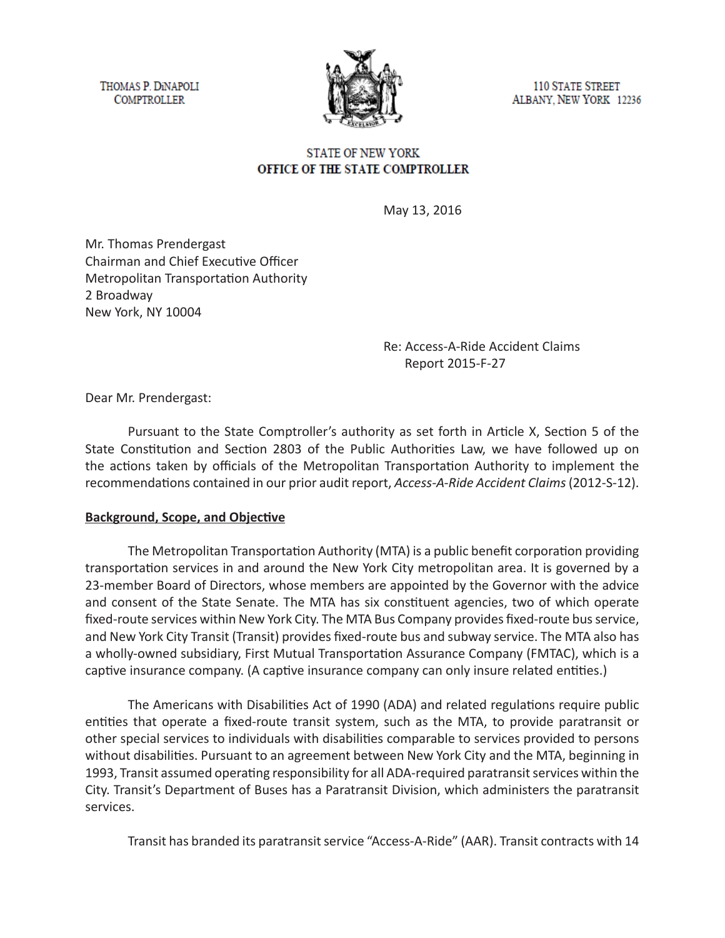THOMAS P. DINAPOLI **COMPTROLLER** 



**110 STATE STREET** ALBANY, NEW YORK 12236

### **STATE OF NEW YORK** OFFICE OF THE STATE COMPTROLLER

May 13, 2016

Mr. Thomas Prendergast Chairman and Chief Executive Officer Metropolitan Transportation Authority 2 Broadway New York, NY 10004

> Re: Access-A-Ride Accident Claims Report 2015-F-27

Dear Mr. Prendergast:

Pursuant to the State Comptroller's authority as set forth in Article X, Section 5 of the State Constitution and Section 2803 of the Public Authorities Law, we have followed up on the actions taken by officials of the Metropolitan Transportation Authority to implement the recommendations contained in our prior audit report, *Access-A-Ride Accident Claims* (2012-S-12).

### **Background, Scope, and Objective**

The Metropolitan Transportation Authority (MTA) is a public benefit corporation providing transportation services in and around the New York City metropolitan area. It is governed by a 23-member Board of Directors, whose members are appointed by the Governor with the advice and consent of the State Senate. The MTA has six constituent agencies, two of which operate fixed-route services within New York City. The MTA Bus Company provides fixed-route bus service, and New York City Transit (Transit) provides fixed-route bus and subway service. The MTA also has a wholly-owned subsidiary, First Mutual Transportation Assurance Company (FMTAC), which is a captive insurance company. (A captive insurance company can only insure related entities.)

The Americans with Disabilities Act of 1990 (ADA) and related regulations require public entities that operate a fixed-route transit system, such as the MTA, to provide paratransit or other special services to individuals with disabilities comparable to services provided to persons without disabilities. Pursuant to an agreement between New York City and the MTA, beginning in 1993, Transit assumed operating responsibility for all ADA-required paratransit services within the City. Transit's Department of Buses has a Paratransit Division, which administers the paratransit services.

Transit has branded its paratransit service "Access-A-Ride" (AAR). Transit contracts with 14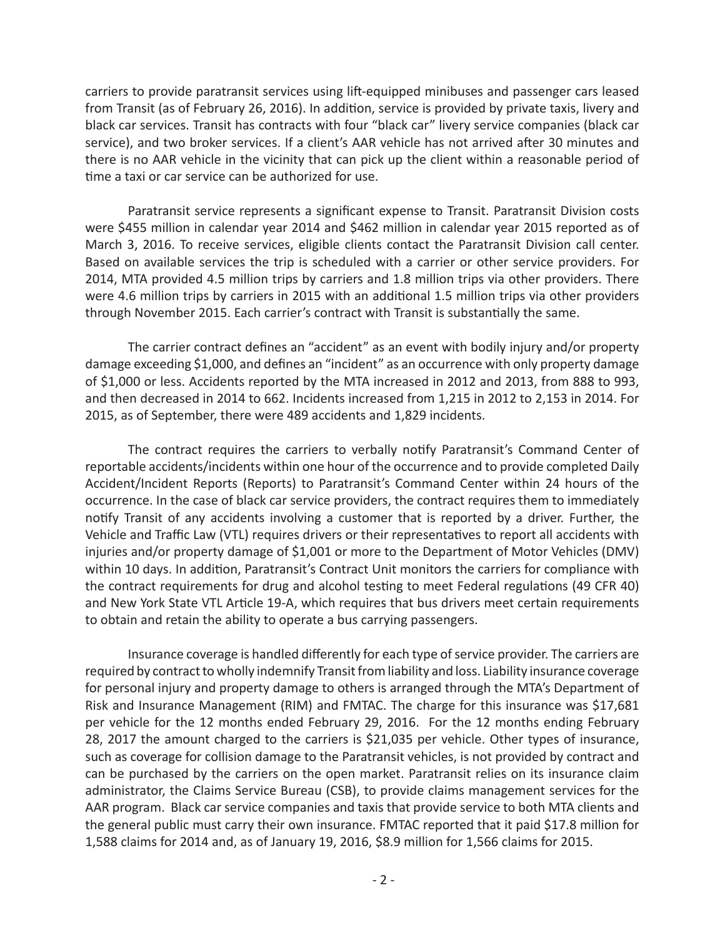carriers to provide paratransit services using lift-equipped minibuses and passenger cars leased from Transit (as of February 26, 2016). In addition, service is provided by private taxis, livery and black car services. Transit has contracts with four "black car" livery service companies (black car service), and two broker services. If a client's AAR vehicle has not arrived after 30 minutes and there is no AAR vehicle in the vicinity that can pick up the client within a reasonable period of time a taxi or car service can be authorized for use.

Paratransit service represents a significant expense to Transit. Paratransit Division costs were \$455 million in calendar year 2014 and \$462 million in calendar year 2015 reported as of March 3, 2016. To receive services, eligible clients contact the Paratransit Division call center. Based on available services the trip is scheduled with a carrier or other service providers. For 2014, MTA provided 4.5 million trips by carriers and 1.8 million trips via other providers. There were 4.6 million trips by carriers in 2015 with an additional 1.5 million trips via other providers through November 2015. Each carrier's contract with Transit is substantially the same.

The carrier contract defines an "accident" as an event with bodily injury and/or property damage exceeding \$1,000, and defines an "incident" as an occurrence with only property damage of \$1,000 or less. Accidents reported by the MTA increased in 2012 and 2013, from 888 to 993, and then decreased in 2014 to 662. Incidents increased from 1,215 in 2012 to 2,153 in 2014. For 2015, as of September, there were 489 accidents and 1,829 incidents.

The contract requires the carriers to verbally notify Paratransit's Command Center of reportable accidents/incidents within one hour of the occurrence and to provide completed Daily Accident/Incident Reports (Reports) to Paratransit's Command Center within 24 hours of the occurrence. In the case of black car service providers, the contract requires them to immediately notify Transit of any accidents involving a customer that is reported by a driver. Further, the Vehicle and Traffic Law (VTL) requires drivers or their representatives to report all accidents with injuries and/or property damage of \$1,001 or more to the Department of Motor Vehicles (DMV) within 10 days. In addition, Paratransit's Contract Unit monitors the carriers for compliance with the contract requirements for drug and alcohol testing to meet Federal regulations (49 CFR 40) and New York State VTL Article 19-A, which requires that bus drivers meet certain requirements to obtain and retain the ability to operate a bus carrying passengers.

Insurance coverage is handled differently for each type of service provider. The carriers are required by contract to wholly indemnify Transit from liability and loss. Liability insurance coverage for personal injury and property damage to others is arranged through the MTA's Department of Risk and Insurance Management (RIM) and FMTAC. The charge for this insurance was \$17,681 per vehicle for the 12 months ended February 29, 2016. For the 12 months ending February 28, 2017 the amount charged to the carriers is \$21,035 per vehicle. Other types of insurance, such as coverage for collision damage to the Paratransit vehicles, is not provided by contract and can be purchased by the carriers on the open market. Paratransit relies on its insurance claim administrator, the Claims Service Bureau (CSB), to provide claims management services for the AAR program. Black car service companies and taxis that provide service to both MTA clients and the general public must carry their own insurance. FMTAC reported that it paid \$17.8 million for 1,588 claims for 2014 and, as of January 19, 2016, \$8.9 million for 1,566 claims for 2015.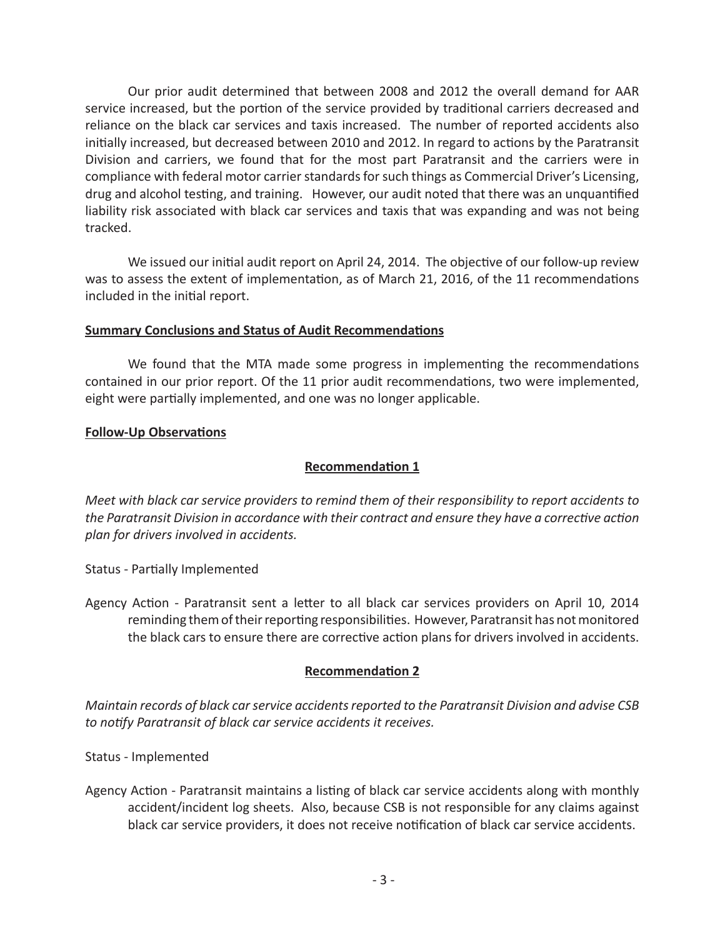Our prior audit determined that between 2008 and 2012 the overall demand for AAR service increased, but the portion of the service provided by traditional carriers decreased and reliance on the black car services and taxis increased. The number of reported accidents also initially increased, but decreased between 2010 and 2012. In regard to actions by the Paratransit Division and carriers, we found that for the most part Paratransit and the carriers were in compliance with federal motor carrier standards for such things as Commercial Driver's Licensing, drug and alcohol testing, and training. However, our audit noted that there was an unquantified liability risk associated with black car services and taxis that was expanding and was not being tracked.

We issued our initial audit report on April 24, 2014. The objective of our follow-up review was to assess the extent of implementation, as of March 21, 2016, of the 11 recommendations included in the initial report.

### **Summary Conclusions and Status of Audit Recommendations**

We found that the MTA made some progress in implementing the recommendations contained in our prior report. Of the 11 prior audit recommendations, two were implemented, eight were partially implemented, and one was no longer applicable.

### **Follow-Up Observations**

### **Recommendation 1**

*Meet with black car service providers to remind them of their responsibility to report accidents to the Paratransit Division in accordance with their contract and ensure they have a corrective action plan for drivers involved in accidents.*

Status - Partially Implemented

Agency Action - Paratransit sent a letter to all black car services providers on April 10, 2014 reminding them of their reporting responsibilities. However, Paratransit has not monitored the black cars to ensure there are corrective action plans for drivers involved in accidents.

#### **Recommendation 2**

*Maintain records of black car service accidents reported to the Paratransit Division and advise CSB to notify Paratransit of black car service accidents it receives.*

Status - Implemented

Agency Action - Paratransit maintains a listing of black car service accidents along with monthly accident/incident log sheets. Also, because CSB is not responsible for any claims against black car service providers, it does not receive notification of black car service accidents.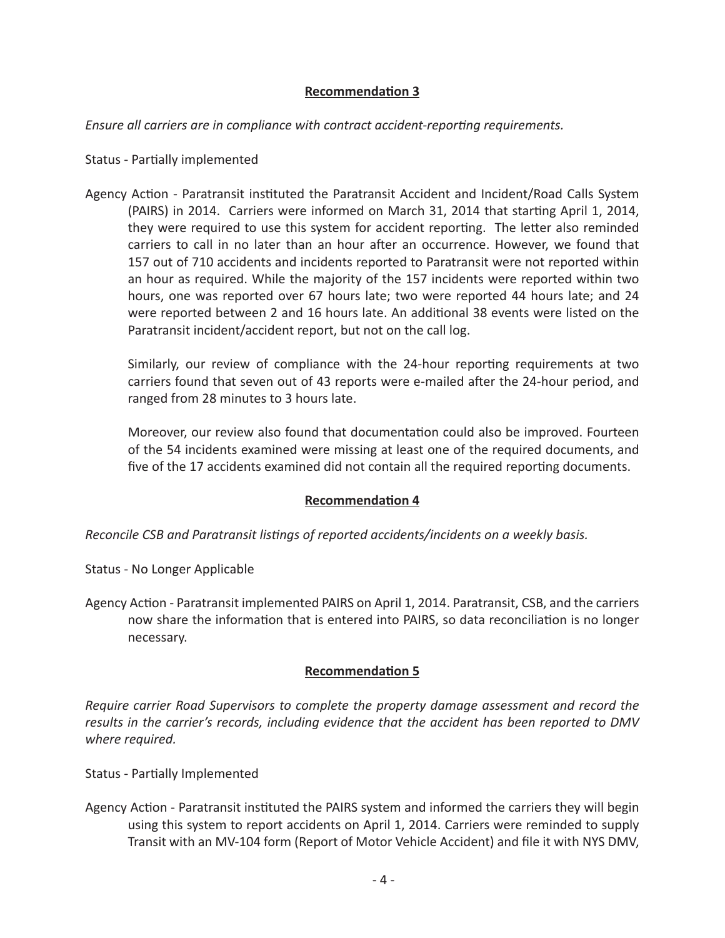## **Recommendation 3**

*Ensure all carriers are in compliance with contract accident-reporting requirements.*

### Status - Partially implemented

Agency Action - Paratransit instituted the Paratransit Accident and Incident/Road Calls System (PAIRS) in 2014. Carriers were informed on March 31, 2014 that starting April 1, 2014, they were required to use this system for accident reporting. The letter also reminded carriers to call in no later than an hour after an occurrence. However, we found that 157 out of 710 accidents and incidents reported to Paratransit were not reported within an hour as required. While the majority of the 157 incidents were reported within two hours, one was reported over 67 hours late; two were reported 44 hours late; and 24 were reported between 2 and 16 hours late. An additional 38 events were listed on the Paratransit incident/accident report, but not on the call log.

Similarly, our review of compliance with the 24-hour reporting requirements at two carriers found that seven out of 43 reports were e-mailed after the 24-hour period, and ranged from 28 minutes to 3 hours late.

Moreover, our review also found that documentation could also be improved. Fourteen of the 54 incidents examined were missing at least one of the required documents, and five of the 17 accidents examined did not contain all the required reporting documents.

## **Recommendation 4**

*Reconcile CSB and Paratransit listings of reported accidents/incidents on a weekly basis.*

- Status No Longer Applicable
- Agency Action Paratransit implemented PAIRS on April 1, 2014. Paratransit, CSB, and the carriers now share the information that is entered into PAIRS, so data reconciliation is no longer necessary.

### **Recommendation 5**

*Require carrier Road Supervisors to complete the property damage assessment and record the results in the carrier's records, including evidence that the accident has been reported to DMV where required.* 

- Status Partially Implemented
- Agency Action Paratransit instituted the PAIRS system and informed the carriers they will begin using this system to report accidents on April 1, 2014. Carriers were reminded to supply Transit with an MV-104 form (Report of Motor Vehicle Accident) and file it with NYS DMV,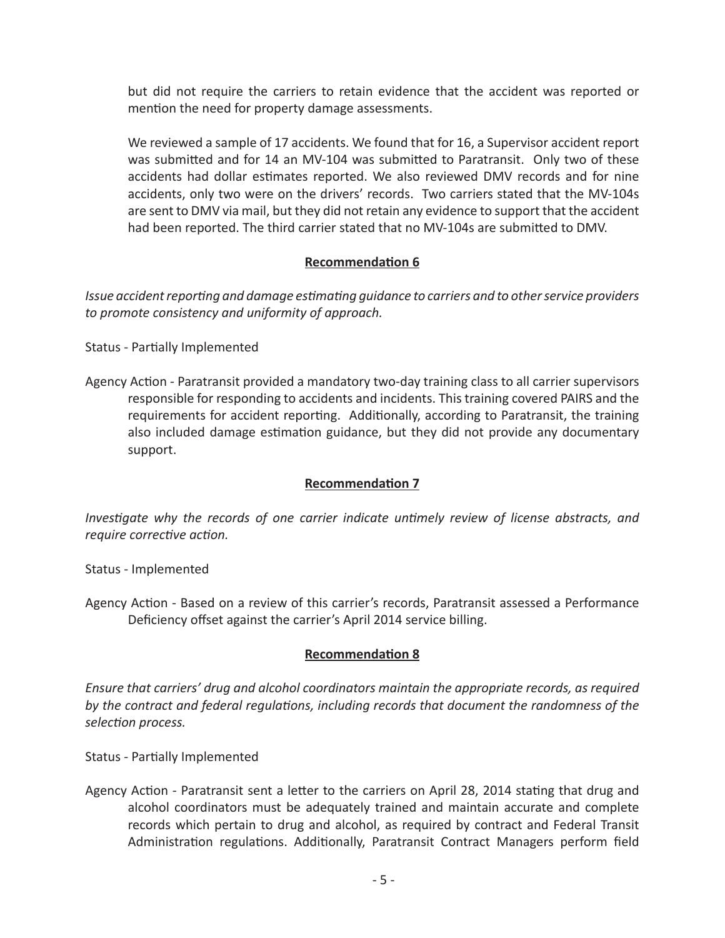but did not require the carriers to retain evidence that the accident was reported or mention the need for property damage assessments.

We reviewed a sample of 17 accidents. We found that for 16, a Supervisor accident report was submitted and for 14 an MV-104 was submitted to Paratransit. Only two of these accidents had dollar estimates reported. We also reviewed DMV records and for nine accidents, only two were on the drivers' records. Two carriers stated that the MV-104s are sent to DMV via mail, but they did not retain any evidence to support that the accident had been reported. The third carrier stated that no MV-104s are submitted to DMV.

## **Recommendation 6**

*Issue accident reporting and damage estimating guidance to carriers and to other service providers to promote consistency and uniformity of approach.*

Status - Partially Implemented

Agency Action - Paratransit provided a mandatory two-day training class to all carrier supervisors responsible for responding to accidents and incidents. This training covered PAIRS and the requirements for accident reporting. Additionally, according to Paratransit, the training also included damage estimation guidance, but they did not provide any documentary support.

# **Recommendation 7**

*Investigate why the records of one carrier indicate untimely review of license abstracts, and require corrective action.*

Status - Implemented

Agency Action - Based on a review of this carrier's records, Paratransit assessed a Performance Deficiency offset against the carrier's April 2014 service billing.

# **Recommendation 8**

*Ensure that carriers' drug and alcohol coordinators maintain the appropriate records, as required by the contract and federal regulations, including records that document the randomness of the selection process.*

Status - Partially Implemented

Agency Action - Paratransit sent a letter to the carriers on April 28, 2014 stating that drug and alcohol coordinators must be adequately trained and maintain accurate and complete records which pertain to drug and alcohol, as required by contract and Federal Transit Administration regulations. Additionally, Paratransit Contract Managers perform field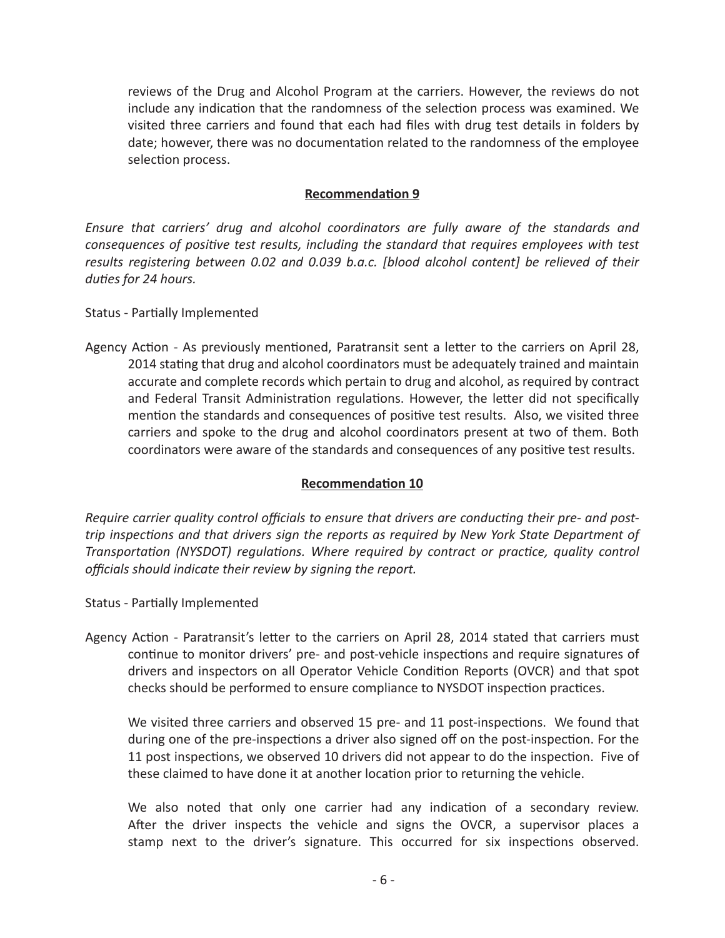reviews of the Drug and Alcohol Program at the carriers. However, the reviews do not include any indication that the randomness of the selection process was examined. We visited three carriers and found that each had files with drug test details in folders by date; however, there was no documentation related to the randomness of the employee selection process.

### **Recommendation 9**

*Ensure that carriers' drug and alcohol coordinators are fully aware of the standards and consequences of positive test results, including the standard that requires employees with test results registering between 0.02 and 0.039 b.a.c. [blood alcohol content] be relieved of their duties for 24 hours.*

Status - Partially Implemented

Agency Action - As previously mentioned, Paratransit sent a letter to the carriers on April 28, 2014 stating that drug and alcohol coordinators must be adequately trained and maintain accurate and complete records which pertain to drug and alcohol, as required by contract and Federal Transit Administration regulations. However, the letter did not specifically mention the standards and consequences of positive test results. Also, we visited three carriers and spoke to the drug and alcohol coordinators present at two of them. Both coordinators were aware of the standards and consequences of any positive test results.

### **Recommendation 10**

*Require carrier quality control officials to ensure that drivers are conducting their pre- and posttrip inspections and that drivers sign the reports as required by New York State Department of Transportation (NYSDOT) regulations. Where required by contract or practice, quality control officials should indicate their review by signing the report.*

Status - Partially Implemented

Agency Action - Paratransit's letter to the carriers on April 28, 2014 stated that carriers must continue to monitor drivers' pre- and post-vehicle inspections and require signatures of drivers and inspectors on all Operator Vehicle Condition Reports (OVCR) and that spot checks should be performed to ensure compliance to NYSDOT inspection practices.

We visited three carriers and observed 15 pre- and 11 post-inspections. We found that during one of the pre-inspections a driver also signed off on the post-inspection. For the 11 post inspections, we observed 10 drivers did not appear to do the inspection. Five of these claimed to have done it at another location prior to returning the vehicle.

We also noted that only one carrier had any indication of a secondary review. After the driver inspects the vehicle and signs the OVCR, a supervisor places a stamp next to the driver's signature. This occurred for six inspections observed.